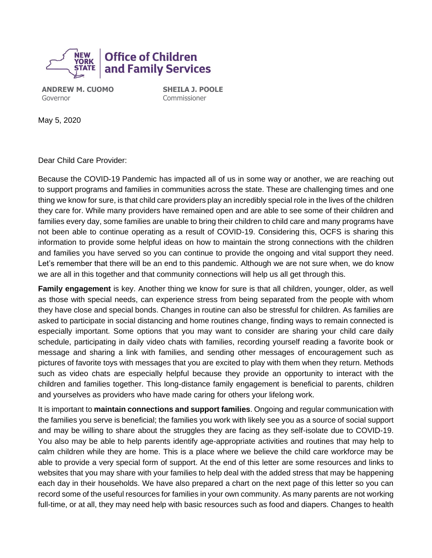

**ANDREW M. CUOMO** Governor

**SHEILA J. POOLE** Commissioner

May 5, 2020

Dear Child Care Provider:

Because the COVID-19 Pandemic has impacted all of us in some way or another, we are reaching out to support programs and families in communities across the state. These are challenging times and one thing we know for sure, is that child care providers play an incredibly special role in the lives of the children they care for. While many providers have remained open and are able to see some of their children and families every day, some families are unable to bring their children to child care and many programs have not been able to continue operating as a result of COVID-19. Considering this, OCFS is sharing this information to provide some helpful ideas on how to maintain the strong connections with the children and families you have served so you can continue to provide the ongoing and vital support they need. Let's remember that there will be an end to this pandemic. Although we are not sure when, we do know we are all in this together and that community connections will help us all get through this.

**Family engagement** is key. Another thing we know for sure is that all children, younger, older, as well as those with special needs, can experience stress from being separated from the people with whom they have close and special bonds. Changes in routine can also be stressful for children. As families are asked to participate in social distancing and home routines change, finding ways to remain connected is especially important. Some options that you may want to consider are sharing your child care daily schedule, participating in daily video chats with families, recording yourself reading a favorite book or message and sharing a link with families, and sending other messages of encouragement such as pictures of favorite toys with messages that you are excited to play with them when they return. Methods such as video chats are especially helpful because they provide an opportunity to interact with the children and families together. This long-distance family engagement is beneficial to parents, children and yourselves as providers who have made caring for others your lifelong work.

It is important to **maintain connections and support families**. Ongoing and regular communication with the families you serve is beneficial; the families you work with likely see you as a source of social support and may be willing to share about the struggles they are facing as they self-isolate due to COVID-19. You also may be able to help parents identify age-appropriate activities and routines that may help to calm children while they are home. This is a place where we believe the child care workforce may be able to provide a very special form of support. At the end of this letter are some resources and links to websites that you may share with your families to help deal with the added stress that may be happening each day in their households. We have also prepared a chart on the next page of this letter so you can record some of the useful resources for families in your own community. As many parents are not working full-time, or at all, they may need help with basic resources such as food and diapers. Changes to health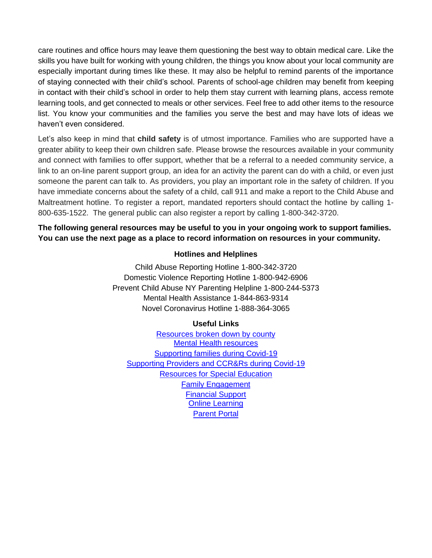care routines and office hours may leave them questioning the best way to obtain medical care. Like the skills you have built for working with young children, the things you know about your local community are especially important during times like these. It may also be helpful to remind parents of the importance of staying connected with their child's school. Parents of school-age children may benefit from keeping in contact with their child's school in order to help them stay current with learning plans, access remote learning tools, and get connected to meals or other services. Feel free to add other items to the resource list. You know your communities and the families you serve the best and may have lots of ideas we haven't even considered.

Let's also keep in mind that **child safety** is of utmost importance. Families who are supported have a greater ability to keep their own children safe. Please browse the resources available in your community and connect with families to offer support, whether that be a referral to a needed community service, a link to an on-line parent support group, an idea for an activity the parent can do with a child, or even just someone the parent can talk to. As providers, you play an important role in the safety of children. If you have immediate concerns about the safety of a child, call 911 and make a report to the Child Abuse and Maltreatment hotline. To register a report, mandated reporters should contact the hotline by calling 1- 800-635-1522. The general public can also register a report by calling 1-800-342-3720.

**The following general resources may be useful to you in your ongoing work to support families. You can use the next page as a place to record information on resources in your community.** 

## **Hotlines and Helplines**

Child Abuse Reporting Hotline 1-800-342-3720 Domestic Violence Reporting Hotline 1-800-942-6906 Prevent Child Abuse NY Parenting Helpline 1-800-244-5373 Mental Health Assistance 1-844-863-9314 Novel Coronavirus Hotline 1-888-364-3065

## **Useful Links**

[Resources broken down by county](https://preventchildabuseny.org/covid-19-resources-and-response) [Mental Health resources](https://omh.ny.gov/omhweb/covid-19-resources.html) [Supporting families during Covid-19](https://childmind.org/coping-during-covid-19-resources-for-parents) [Supporting Providers and CCR&Rs during Covid-19](https://info.childcareaware.org/coronavirus-updates#providers) [Resources for Special Education](https://www.nasponline.org/resources-and-publications/resources-and-podcasts/covid-19-resource-center) [Family Engagement](https://www.childwelfare.gov/topics/preventing/preventionmonth/resources/activity-calendars/) [Financial Support](https://www.cssny.org/news/entry/covid-19-financial-tips) [Online Learning](https://www.newamerica.org/education-policy/edcentral/online-learning-wake-covid-19/) [Parent Portal](https://www.nysparenting.org/coronavirus-resources-parents)